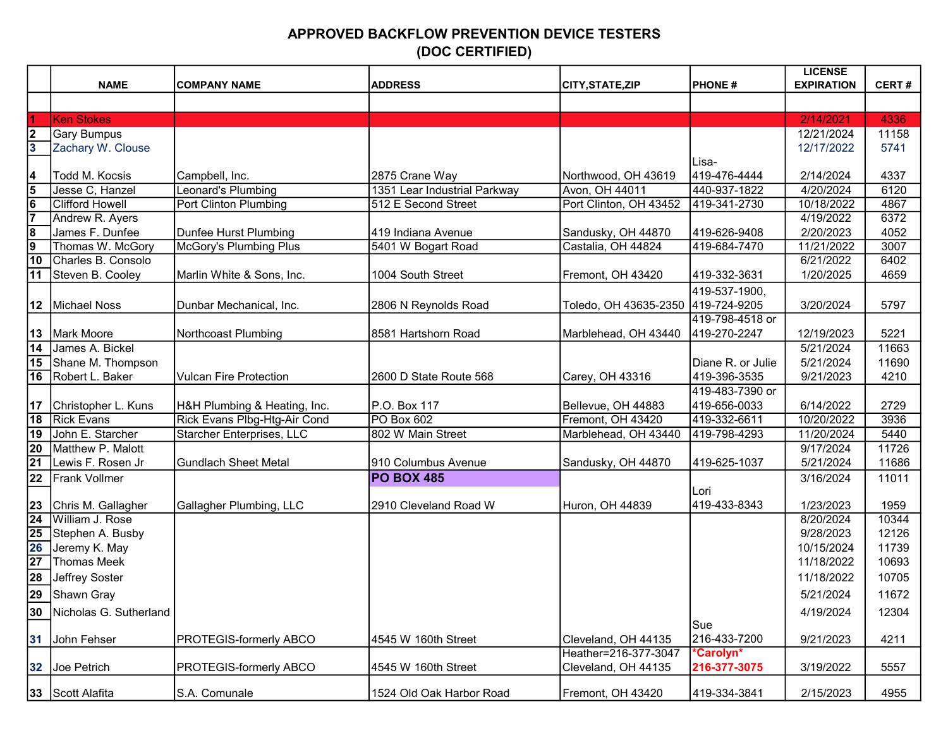## APPROVED BACKFLOW PREVENTION DEVICE TESTERS (DOC CERTIFIED)

|                         |                        |                                  |                              |                                    |                   | <b>LICENSE</b>    |              |
|-------------------------|------------------------|----------------------------------|------------------------------|------------------------------------|-------------------|-------------------|--------------|
|                         | <b>NAME</b>            | <b>COMPANY NAME</b>              | <b>ADDRESS</b>               | CITY, STATE, ZIP                   | <b>PHONE#</b>     | <b>EXPIRATION</b> | <b>CERT#</b> |
|                         |                        |                                  |                              |                                    |                   |                   |              |
| $\overline{1}$          | <b>Ken Stokes</b>      |                                  |                              |                                    |                   | 2/14/2021         | 4336         |
| $\overline{\mathbf{2}}$ | Gary Bumpus            |                                  |                              |                                    |                   | 12/21/2024        | 11158        |
| $\overline{\mathbf{3}}$ | Zachary W. Clouse      |                                  |                              |                                    |                   | 12/17/2022        | 5741         |
|                         |                        |                                  |                              |                                    | Lisa-             |                   |              |
| $\frac{4}{5}$           | Todd M. Kocsis         | Campbell, Inc.                   | 2875 Crane Way               | Northwood, OH 43619                | 419-476-4444      | 2/14/2024         | 4337         |
|                         | Jesse C, Hanzel        | Leonard's Plumbing               | 1351 Lear Industrial Parkway | Avon, OH 44011                     | 440-937-1822      | 4/20/2024         | 6120         |
| $\frac{6}{7}$           | <b>Clifford Howell</b> | Port Clinton Plumbing            | 512 E Second Street          | Port Clinton, OH 43452             | 419-341-2730      | 10/18/2022        | 4867         |
|                         | Andrew R. Ayers        |                                  |                              |                                    |                   | 4/19/2022         | 6372         |
| <u> စ</u>               | James F. Dunfee        | Dunfee Hurst Plumbing            | 419 Indiana Avenue           | Sandusky, OH 44870                 | 419-626-9408      | 2/20/2023         | 4052         |
|                         | Thomas W. McGory       | McGory's Plumbing Plus           | 5401 W Bogart Road           | Castalia, OH 44824                 | 419-684-7470      | 11/21/2022        | 3007         |
| $\overline{10}$         | Charles B. Consolo     |                                  |                              |                                    |                   | 6/21/2022         | 6402         |
| $\overline{11}$         | Steven B. Cooley       | Marlin White & Sons, Inc.        | 1004 South Street            | Fremont, OH 43420                  | 419-332-3631      | 1/20/2025         | 4659         |
|                         |                        |                                  |                              |                                    | 419-537-1900,     |                   |              |
| 12                      | Michael Noss           | Dunbar Mechanical, Inc.          | 2806 N Reynolds Road         | Toledo, OH 43635-2350 419-724-9205 |                   | 3/20/2024         | 5797         |
|                         |                        |                                  |                              |                                    | 419-798-4518 or   |                   |              |
| 13                      | Mark Moore             | Northcoast Plumbing              | 8581 Hartshorn Road          | Marblehead, OH 43440               | 419-270-2247      | 12/19/2023        | 5221         |
| $\overline{14}$         | James A. Bickel        |                                  |                              |                                    |                   | 5/21/2024         | 11663        |
| $\overline{15}$         | Shane M. Thompson      |                                  |                              |                                    | Diane R. or Julie | 5/21/2024         | 11690        |
| 16                      | Robert L. Baker        | <b>Vulcan Fire Protection</b>    | 2600 D State Route 568       | Carey, OH 43316                    | 419-396-3535      | 9/21/2023         | 4210         |
|                         |                        |                                  |                              |                                    | 419-483-7390 or   |                   |              |
| 17                      | Christopher L. Kuns    | H&H Plumbing & Heating, Inc.     | P.O. Box 117                 | Bellevue, OH 44883                 | 419-656-0033      | 6/14/2022         | 2729         |
| $\overline{18}$         | <b>Rick Evans</b>      | Rick Evans Plbg-Htg-Air Cond     | PO Box 602                   | Fremont, OH 43420                  | 419-332-6611      | 10/20/2022        | 3936         |
| 19                      | John E. Starcher       | <b>Starcher Enterprises, LLC</b> | 802 W Main Street            | Marblehead, OH 43440               | 419-798-4293      | 11/20/2024        | 5440         |
| $\overline{20}$         | Matthew P. Malott      |                                  |                              |                                    |                   | 9/17/2024         | 11726        |
| $\overline{21}$         | Lewis F. Rosen Jr      | <b>Gundlach Sheet Metal</b>      | 910 Columbus Avenue          | Sandusky, OH 44870                 | 419-625-1037      | 5/21/2024         | 11686        |
| 22                      | <b>Frank Vollmer</b>   |                                  | <b>PO BOX 485</b>            |                                    |                   | 3/16/2024         | 11011        |
|                         |                        |                                  |                              |                                    | Lori              |                   |              |
| $\overline{23}$         | Chris M. Gallagher     | Gallagher Plumbing, LLC          | 2910 Cleveland Road W        | Huron, OH 44839                    | 419-433-8343      | 1/23/2023         | 1959         |
| $\overline{24}$         | William J. Rose        |                                  |                              |                                    |                   | 8/20/2024         | 10344        |
| $\overline{25}$         | Stephen A. Busby       |                                  |                              |                                    |                   | 9/28/2023         | 12126        |
| 26                      | Jeremy K. May          |                                  |                              |                                    |                   | 10/15/2024        | 11739        |
| $\overline{27}$         | Thomas Meek            |                                  |                              |                                    |                   | 11/18/2022        | 10693        |
| $\overline{28}$         | Jeffrey Soster         |                                  |                              |                                    |                   | 11/18/2022        | 10705        |
| 29                      | Shawn Gray             |                                  |                              |                                    |                   | 5/21/2024         | 11672        |
| 30                      | Nicholas G. Sutherland |                                  |                              |                                    |                   | 4/19/2024         | 12304        |
|                         |                        |                                  |                              |                                    | Sue               |                   |              |
| 31                      | John Fehser            | <b>PROTEGIS-formerly ABCO</b>    | 4545 W 160th Street          | Cleveland, OH 44135                | 216-433-7200      | 9/21/2023         | 4211         |
|                         |                        |                                  |                              | Heather=216-377-3047               | *Carolyn*         |                   |              |
| 32                      | Joe Petrich            | <b>PROTEGIS-formerly ABCO</b>    | 4545 W 160th Street          | Cleveland, OH 44135                | 216-377-3075      | 3/19/2022         | 5557         |
|                         | 33 Scott Alafita       | S.A. Comunale                    | 1524 Old Oak Harbor Road     | Fremont, OH 43420                  | 419-334-3841      | 2/15/2023         | 4955         |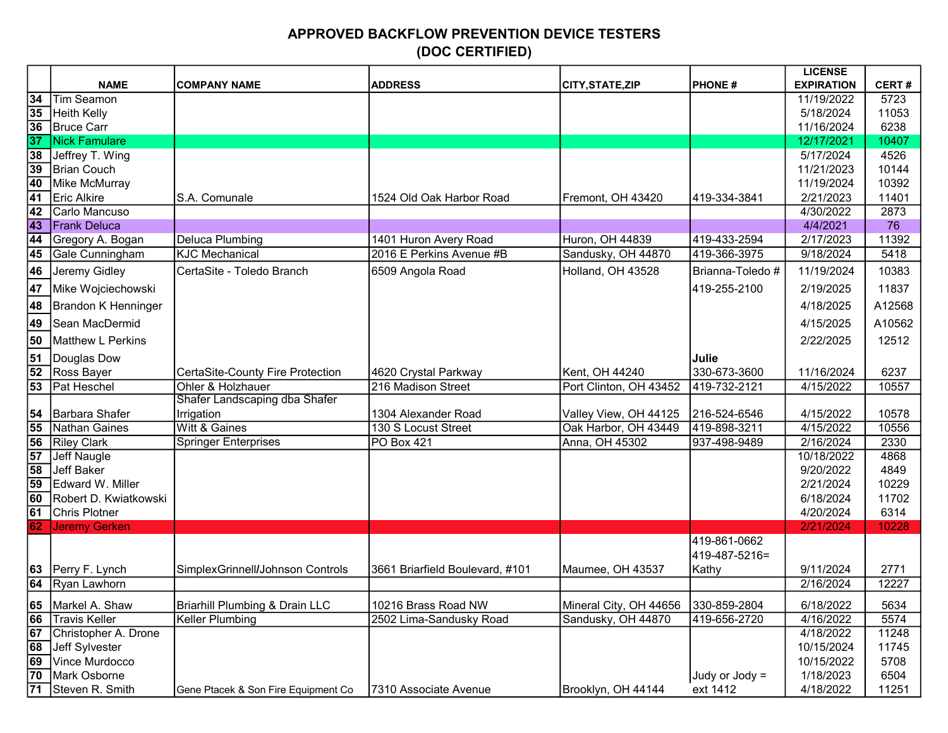## APPROVED BACKFLOW PREVENTION DEVICE TESTERS (DOC CERTIFIED)

|                 |                       |                                           |                                 |                                     |                  | <b>LICENSE</b>    |              |
|-----------------|-----------------------|-------------------------------------------|---------------------------------|-------------------------------------|------------------|-------------------|--------------|
|                 | <b>NAME</b>           | <b>COMPANY NAME</b>                       | <b>ADDRESS</b>                  | <b>CITY, STATE, ZIP</b>             | <b>PHONE#</b>    | <b>EXPIRATION</b> | <b>CERT#</b> |
| 34              | Tim Seamon            |                                           |                                 |                                     |                  | 11/19/2022        | 5723         |
| 35              | Heith Kelly           |                                           |                                 |                                     |                  | 5/18/2024         | 11053        |
| 36              | Bruce Carr            |                                           |                                 |                                     |                  | 11/16/2024        | 6238         |
| 37              | Nick Famulare         |                                           |                                 |                                     |                  | 12/17/2021        | 10407        |
| 38              | Jeffrey T. Wing       |                                           |                                 |                                     |                  | 5/17/2024         | 4526         |
| $\overline{39}$ | Brian Couch           |                                           |                                 |                                     |                  | 11/21/2023        | 10144        |
| 40              | Mike McMurray         |                                           |                                 |                                     |                  | 11/19/2024        | 10392        |
| 41              | Eric Alkire           | S.A. Comunale                             | 1524 Old Oak Harbor Road        | Fremont, OH 43420                   | 419-334-3841     | 2/21/2023         | 11401        |
| $\overline{42}$ | Carlo Mancuso         |                                           |                                 |                                     |                  | 4/30/2022         | 2873         |
| 43              | Frank Deluca          |                                           |                                 |                                     |                  | 4/4/2021          | 76           |
| 44              | Gregory A. Bogan      | <b>Deluca Plumbing</b>                    | 1401 Huron Avery Road           | Huron, OH 44839                     | 419-433-2594     | 2/17/2023         | 11392        |
| 45              | Gale Cunningham       | <b>KJC Mechanical</b>                     | 2016 E Perkins Avenue #B        | Sandusky, OH 44870                  | 419-366-3975     | 9/18/2024         | 5418         |
| 46              | Jeremy Gidley         | CertaSite - Toledo Branch                 | 6509 Angola Road                | Holland, OH 43528                   | Brianna-Toledo # | 11/19/2024        | 10383        |
| 47              | Mike Wojciechowski    |                                           |                                 |                                     | 419-255-2100     | 2/19/2025         | 11837        |
| 48              | Brandon K Henninger   |                                           |                                 |                                     |                  | 4/18/2025         | A12568       |
| 49              | Sean MacDermid        |                                           |                                 |                                     |                  | 4/15/2025         | A10562       |
| 50              | Matthew L Perkins     |                                           |                                 |                                     |                  | 2/22/2025         | 12512        |
| 51              | Douglas Dow           |                                           |                                 |                                     | Julie            |                   |              |
| $\overline{52}$ | Ross Bayer            | CertaSite-County Fire Protection          | 4620 Crystal Parkway            | Kent, OH 44240                      | 330-673-3600     | 11/16/2024        | 6237         |
| 53              | <b>Pat Heschel</b>    | Ohler & Holzhauer                         | 216 Madison Street              | Port Clinton, OH 43452              | 419-732-2121     | 4/15/2022         | 10557        |
|                 |                       | Shafer Landscaping dba Shafer             |                                 |                                     |                  |                   |              |
| 54              | Barbara Shafer        | Irrigation                                | 1304 Alexander Road             | Valley View, OH 44125               | 216-524-6546     | 4/15/2022         | 10578        |
| 55              | Nathan Gaines         | <b>Witt &amp; Gaines</b>                  | 130 S Locust Street             | Oak Harbor, OH 43449                | 419-898-3211     | 4/15/2022         | 10556        |
| 56              | <b>Riley Clark</b>    | <b>Springer Enterprises</b>               | <b>PO Box 421</b>               | Anna, OH 45302                      | 937-498-9489     | 2/16/2024         | 2330         |
| $\overline{57}$ | Jeff Naugle           |                                           |                                 |                                     |                  | 10/18/2022        | 4868         |
| 58              | Jeff Baker            |                                           |                                 |                                     |                  | 9/20/2022         | 4849         |
| 59              | Edward W. Miller      |                                           |                                 |                                     |                  | 2/21/2024         | 10229        |
| 60              | Robert D. Kwiatkowski |                                           |                                 |                                     |                  | 6/18/2024         | 11702        |
| 61              | Chris Plotner         |                                           |                                 |                                     |                  | 4/20/2024         | 6314         |
| 62              | Jeremy Gerken         |                                           |                                 |                                     |                  | 2/21/2024         | 10228        |
|                 |                       |                                           |                                 |                                     | 419-861-0662     |                   |              |
|                 |                       |                                           |                                 |                                     | 419-487-5216=    |                   |              |
|                 | 63 Perry F. Lynch     | SimplexGrinnell/Johnson Controls          | 3661 Briarfield Boulevard, #101 | Maumee, OH 43537                    | Kathy            | 9/11/2024         | 2771         |
| $\overline{64}$ | Ryan Lawhorn          |                                           |                                 |                                     |                  | 2/16/2024         | 12227        |
|                 | 65 Markel A. Shaw     | <b>Briarhill Plumbing &amp; Drain LLC</b> | 10216 Brass Road NW             | Mineral City, OH 44656 330-859-2804 |                  | 6/18/2022         | 5634         |
| 66              | Travis Keller         | Keller Plumbing                           | 2502 Lima-Sandusky Road         | Sandusky, OH 44870                  | 419-656-2720     | 4/16/2022         | 5574         |
| 67              | Christopher A. Drone  |                                           |                                 |                                     |                  | 4/18/2022         | 11248        |
| $\overline{68}$ | Jeff Sylvester        |                                           |                                 |                                     |                  | 10/15/2024        | 11745        |
| 69              | Vince Murdocco        |                                           |                                 |                                     |                  | 10/15/2022        | 5708         |
| 70              | Mark Osborne          |                                           |                                 |                                     | Judy or Jody $=$ | 1/18/2023         | 6504         |
|                 | 71 Steven R. Smith    | Gene Ptacek & Son Fire Equipment Co       | 7310 Associate Avenue           | Brooklyn, OH 44144                  | ext 1412         | 4/18/2022         | 11251        |